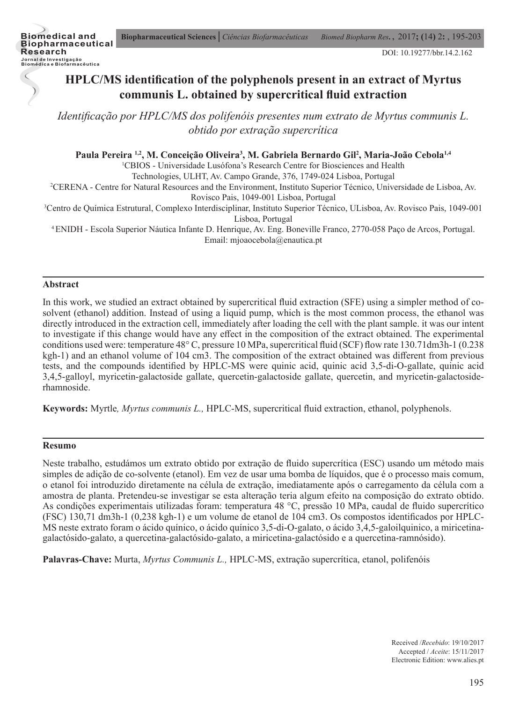

## **HPLC/MS identification of the polyphenols present in an extract of Myrtus communis L. obtained by supercritical fluid extraction**

*Identificação por HPLC/MS dos polifenóis presentes num extrato de Myrtus communis L. obtido por extração supercrítica*

Paula Pereira <sup>1,2</sup>, M. Conceição Oliveira<sup>3</sup>, M. Gabriela Bernardo Gil<sup>2</sup>, Maria-João Cebola<sup>1,4</sup>

1 CBIOS - Universidade Lusófona's Research Centre for Biosciences and Health

Technologies, ULHT, Av. Campo Grande, 376, 1749-024 Lisboa, Portugal

2 CERENA - Centre for Natural Resources and the Environment, Instituto Superior Técnico, Universidade de Lisboa, Av.

Rovisco Pais, 1049-001 Lisboa, Portugal

3 Centro de Química Estrutural, Complexo Interdisciplinar, Instituto Superior Técnico, ULisboa, Av. Rovisco Pais, 1049-001 Lisboa, Portugal

4 ENIDH - Escola Superior Náutica Infante D. Henrique, Av. Eng. Boneville Franco, 2770-058 Paço de Arcos, Portugal. Email: mjoaocebola@enautica.pt

#### **Abstract**

In this work, we studied an extract obtained by supercritical fluid extraction (SFE) using a simpler method of cosolvent (ethanol) addition. Instead of using a liquid pump, which is the most common process, the ethanol was directly introduced in the extraction cell, immediately after loading the cell with the plant sample. it was our intent to investigate if this change would have any effect in the composition of the extract obtained. The experimental conditions used were: temperature 48° C, pressure 10 MPa, supercritical fluid (SCF) flow rate 130.71dm3h-1 (0.238 kgh-1) and an ethanol volume of 104 cm3. The composition of the extract obtained was different from previous tests, and the compounds identified by HPLC-MS were quinic acid, quinic acid 3,5-di-O-gallate, quinic acid 3,4,5-galloyl, myricetin-galactoside gallate, quercetin-galactoside gallate, quercetin, and myricetin-galactosiderhamnoside.

**Keywords:** Myrtle*, Myrtus communis L.,* HPLC-MS, supercritical fluid extraction, ethanol, polyphenols.

#### **Resumo**

Neste trabalho, estudámos um extrato obtido por extração de fluido supercrítica (ESC) usando um método mais simples de adição de co-solvente (etanol). Em vez de usar uma bomba de líquidos, que é o processo mais comum, o etanol foi introduzido diretamente na célula de extração, imediatamente após o carregamento da célula com a amostra de planta. Pretendeu-se investigar se esta alteração teria algum efeito na composição do extrato obtido. As condições experimentais utilizadas foram: temperatura 48 °C, pressão 10 MPa, caudal de fluido supercrítico (FSC) 130,71 dm3h-1 (0,238 kgh-1) e um volume de etanol de 104 cm3. Os compostos identificados por HPLC-MS neste extrato foram o ácido quínico, o ácido quínico 3,5-di-O-galato, o ácido 3,4,5-galoilquinico, a miricetinagalactósido-galato, a quercetina-galactósido-galato, a miricetina-galactósido e a quercetina-ramnósido).

**Palavras-Chave:** Murta, *Myrtus Communis L.,* HPLC-MS, extração supercrítica, etanol, polifenóis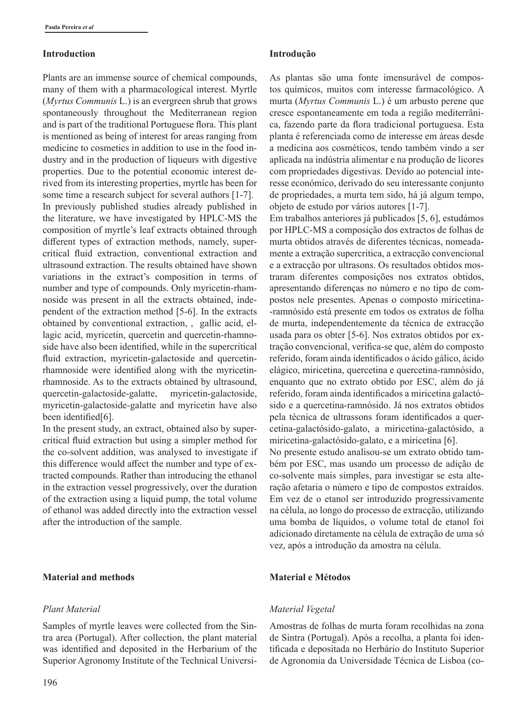#### **Introduction**

Plants are an immense source of chemical compounds, many of them with a pharmacological interest. Myrtle (*Myrtus Communis* L.) is an evergreen shrub that grows spontaneously throughout the Mediterranean region and is part of the traditional Portuguese flora. This plant is mentioned as being of interest for areas ranging from medicine to cosmetics in addition to use in the food industry and in the production of liqueurs with digestive properties. Due to the potential economic interest derived from its interesting properties, myrtle has been for some time a research subject for several authors [1-7]. In previously published studies already published in the literature, we have investigated by HPLC-MS the composition of myrtle's leaf extracts obtained through different types of extraction methods, namely, supercritical fluid extraction, conventional extraction and ultrasound extraction. The results obtained have shown variations in the extract's composition in terms of number and type of compounds. Only myricetin-rhamnoside was present in all the extracts obtained, independent of the extraction method [5-6]. In the extracts obtained by conventional extraction, , gallic acid, ellagic acid, myricetin, quercetin and quercetin-rhamnoside have also been identified, while in the supercritical fluid extraction, myricetin-galactoside and quercetinrhamnoside were identified along with the myricetinrhamnoside. As to the extracts obtained by ultrasound, quercetin-galactoside-galatte, myricetin-galactoside, myricetin-galactoside-galatte and myricetin have also been identified[6].

In the present study, an extract, obtained also by supercritical fluid extraction but using a simpler method for the co-solvent addition, was analysed to investigate if this difference would affect the number and type of extracted compounds. Rather than introducing the ethanol in the extraction vessel progressively, over the duration of the extraction using a liquid pump, the total volume of ethanol was added directly into the extraction vessel after the introduction of the sample.

## **Material and methods**

## *Plant Material*

Samples of myrtle leaves were collected from the Sintra area (Portugal). After collection, the plant material was identified and deposited in the Herbarium of the Superior Agronomy Institute of the Technical Universi-

#### **Introdução**

As plantas são uma fonte imensurável de compostos químicos, muitos com interesse farmacológico. A murta (*Myrtus Communis* L.) é um arbusto perene que cresce espontaneamente em toda a região mediterrânica, fazendo parte da flora tradicional portuguesa. Esta planta é referenciada como de interesse em áreas desde a medicina aos cosméticos, tendo também vindo a ser aplicada na indústria alimentar e na produção de licores com propriedades digestivas. Devido ao potencial interesse económico, derivado do seu interessante conjunto de propriedades, a murta tem sido, há já algum tempo, objeto de estudo por vários autores [1-7].

Em trabalhos anteriores já publicados [5, 6], estudámos por HPLC-MS a composição dos extractos de folhas de murta obtidos através de diferentes técnicas, nomeadamente a extração supercritica, a extracção convencional e a extracção por ultrasons. Os resultados obtidos mostraram diferentes composições nos extratos obtidos, apresentando diferenças no número e no tipo de compostos nele presentes. Apenas o composto miricetina- -ramnósido está presente em todos os extratos de folha de murta, independentemente da técnica de extracção usada para os obter [5-6]. Nos extratos obtidos por extração convencional, verifica-se que, além do composto referido, foram ainda identificados o ácido gálico, ácido elágico, miricetina, quercetina e quercetina-ramnósido, enquanto que no extrato obtido por ESC, além do já referido, foram ainda identificados a miricetina galactósido e a quercetina-ramnósido. Já nos extratos obtidos pela técnica de ultrassons foram identificados a quercetina-galactósido-galato, a miricetina-galactósido, a miricetina-galactósido-galato, e a miricetina [6].

No presente estudo analisou-se um extrato obtido também por ESC, mas usando um processo de adição de co-solvente mais simples, para investigar se esta alteração afetaria o número e tipo de compostos extraídos. Em vez de o etanol ser introduzido progressivamente na célula, ao longo do processo de extracção, utilizando uma bomba de líquidos, o volume total de etanol foi adicionado diretamente na célula de extração de uma só vez, após a introdução da amostra na célula.

## **Material e Métodos**

## *Material Vegetal*

Amostras de folhas de murta foram recolhidas na zona de Sintra (Portugal). Após a recolha, a planta foi identificada e depositada no Herbário do Instituto Superior de Agronomia da Universidade Técnica de Lisboa (co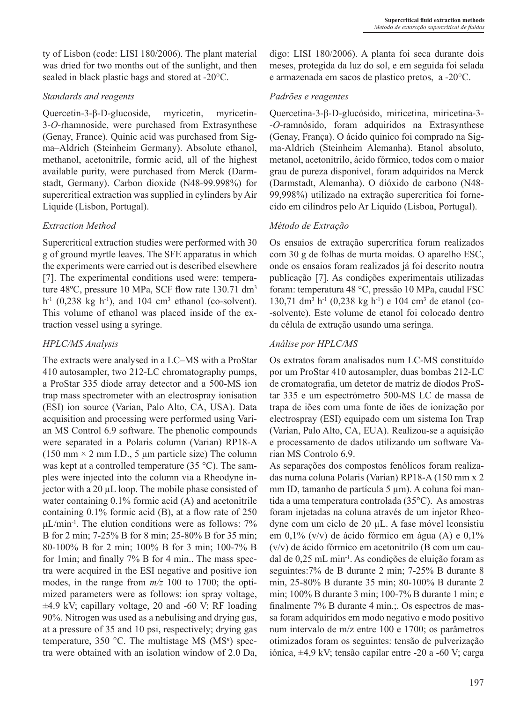ty of Lisbon (code: LISI 180/2006). The plant material was dried for two months out of the sunlight, and then sealed in black plastic bags and stored at -20°C.

## *Standards and reagents*

Quercetin-3-β-D-glucoside, myricetin, myricetin-3-*O*-rhamnoside, were purchased from Extrasynthese (Genay, France). Quinic acid was purchased from Sigma–Aldrich (Steinheim Germany). Absolute ethanol, methanol, acetonitrile, formic acid, all of the highest available purity, were purchased from Merck (Darmstadt, Germany). Carbon dioxide (N48-99.998%) for supercritical extraction was supplied in cylinders by Air Liquide (Lisbon, Portugal).

## *Extraction Method*

Supercritical extraction studies were performed with 30 g of ground myrtle leaves. The SFE apparatus in which the experiments were carried out is described elsewhere [7]. The experimental conditions used were: temperature 48°C, pressure 10 MPa, SCF flow rate 130.71 dm<sup>3</sup>  $h^{-1}$  (0,238 kg  $h^{-1}$ ), and 104 cm<sup>3</sup> ethanol (co-solvent). This volume of ethanol was placed inside of the extraction vessel using a syringe.

## *HPLC/MS Analysis*

The extracts were analysed in a LC–MS with a ProStar 410 autosampler, two 212-LC chromatography pumps, a ProStar 335 diode array detector and a 500-MS ion trap mass spectrometer with an electrospray ionisation (ESI) ion source (Varian, Palo Alto, CA, USA). Data acquisition and processing were performed using Varian MS Control 6.9 software. The phenolic compounds were separated in a Polaris column (Varian) RP18-A (150 mm  $\times$  2 mm I.D., 5 µm particle size) The column was kept at a controlled temperature (35 °C). The samples were injected into the column via a Rheodyne injector with a 20 µL loop. The mobile phase consisted of water containing 0.1% formic acid (A) and acetonitrile containing 0.1% formic acid (B), at a flow rate of 250  $\mu L/min^{-1}$ . The elution conditions were as follows: 7% B for 2 min; 7-25% B for 8 min; 25-80% B for 35 min; 80-100% B for 2 min; 100% B for 3 min; 100-7% B for 1min; and finally 7% B for 4 min.. The mass spectra were acquired in the ESI negative and positive ion modes, in the range from *m/z* 100 to 1700; the optimized parameters were as follows: ion spray voltage,  $\pm$ 4.9 kV; capillary voltage, 20 and -60 V; RF loading 90%. Nitrogen was used as a nebulising and drying gas, at a pressure of 35 and 10 psi, respectively; drying gas temperature, 350 °C. The multistage MS (MS*<sup>n</sup>* ) spectra were obtained with an isolation window of 2.0 Da,

digo: LISI 180/2006). A planta foi seca durante dois meses, protegida da luz do sol, e em seguida foi selada e armazenada em sacos de plastico pretos, a -20°C.

## *Padrões e reagentes*

Quercetina-3-β-D-glucósido, miricetina, miricetina-3- -*O*-ramnósido, foram adquiridos na Extrasynthese (Genay, França). O ácido quinico foi comprado na Sigma-Aldrich (Steinheim Alemanha). Etanol absoluto, metanol, acetonitrilo, ácido fórmico, todos com o maior grau de pureza disponível, foram adquiridos na Merck (Darmstadt, Alemanha). O dióxido de carbono (N48- 99,998%) utilizado na extração supercritica foi fornecido em cilindros pelo Ar Liquido (Lisboa, Portugal).

## *Método de Extração*

Os ensaios de extração supercrítica foram realizados com 30 g de folhas de murta moídas. O aparelho ESC, onde os ensaios foram realizados já foi descrito noutra publicação [7]. As condições experimentais utilizadas foram: temperatura 48 °C, pressão 10 MPa, caudal FSC 130,71 dm<sup>3</sup> h<sup>-1</sup> (0,238 kg h<sup>-1</sup>) e 104 cm<sup>3</sup> de etanol (co--solvente). Este volume de etanol foi colocado dentro da célula de extração usando uma seringa.

## *Análise por HPLC/MS*

Os extratos foram analisados num LC-MS constituído por um ProStar 410 autosampler, duas bombas 212-LC de cromatografia, um detetor de matriz de díodos ProStar 335 e um espectrómetro 500-MS LC de massa de trapa de iões com uma fonte de iões de ionização por electrospray (ESI) equipado com um sistema Ion Trap (Varian, Palo Alto, CA, EUA). Realizou-se a aquisição e processamento de dados utilizando um software Varian MS Controlo 6,9.

As separações dos compostos fenólicos foram realizadas numa coluna Polaris (Varian) RP18-A (150 mm x 2 mm ID, tamanho de partícula 5 µm). A coluna foi mantida a uma temperatura controlada (35°C). As amostras foram injetadas na coluna através de um injetor Rheodyne com um ciclo de 20 µL. A fase móvel lconsistiu em 0,1% (v/v) de ácido fórmico em água (A) e 0,1% (v/v) de ácido fórmico em acetonitrilo (B com um caudal de 0,25 mL min-1. As condições de eluição foram as seguintes:7% de B durante 2 min; 7-25% B durante 8 min, 25-80% B durante 35 min; 80-100% B durante 2 min; 100% B durante 3 min; 100-7% B durante 1 min; e finalmente 7% B durante 4 min.;. Os espectros de massa foram adquiridos em modo negativo e modo positivo num intervalo de m/z entre 100 e 1700; os parâmetros otimizados foram os seguintes: tensão de pulverização iónica, ±4,9 kV; tensão capilar entre -20 a -60 V; carga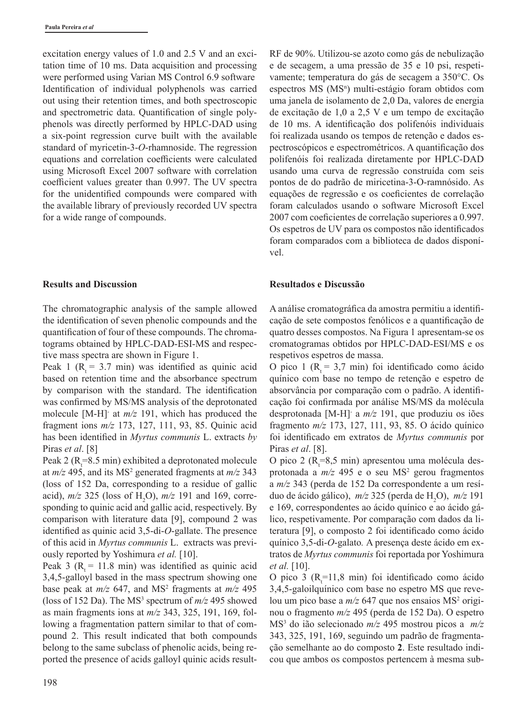excitation energy values of 1.0 and 2.5 V and an excitation time of 10 ms. Data acquisition and processing were performed using Varian MS Control 6.9 software Identification of individual polyphenols was carried out using their retention times, and both spectroscopic and spectrometric data. Quantification of single polyphenols was directly performed by HPLC-DAD using a six-point regression curve built with the available standard of myricetin-3-*O*-rhamnoside. The regression equations and correlation coefficients were calculated using Microsoft Excel 2007 software with correlation coefficient values greater than 0.997. The UV spectra for the unidentified compounds were compared with the available library of previously recorded UV spectra for a wide range of compounds.

#### **Results and Discussion**

The chromatographic analysis of the sample allowed the identification of seven phenolic compounds and the quantification of four of these compounds. The chromatograms obtained by HPLC-DAD-ESI-MS and respective mass spectra are shown in Figure 1.

Peak 1 ( $R = 3.7$  min) was identified as quinic acid based on retention time and the absorbance spectrum by comparison with the standard. The identification was confirmed by MS/MS analysis of the deprotonated molecule [M-H]- at *m/z* 191, which has produced the fragment ions *m/z* 173, 127, 111, 93, 85. Quinic acid has been identified in *Myrtus communis* L. extracts *by*  Piras *et al*. [8]

Peak 2 ( $R_t$ =8.5 min) exhibited a deprotonated molecule at  $m/z$  495, and its MS<sup>2</sup> generated fragments at  $m/z$  343 (loss of 152 Da, corresponding to a residue of gallic acid),  $m/z$  325 (loss of H<sub>2</sub>O),  $m/z$  191 and 169, corresponding to quinic acid and gallic acid, respectively. By comparison with literature data [9], compound 2 was identified as quinic acid 3,5-di-*O*-gallate. The presence of this acid in *Myrtus communis* L. extracts was previously reported by Yoshimura *et al.* [10].

Peak 3 ( $R = 11.8$  min) was identified as quinic acid 3,4,5-galloyl based in the mass spectrum showing one base peak at  $m/z$  647, and MS<sup>2</sup> fragments at  $m/z$  495 (loss of 152 Da). The  $MS<sup>3</sup>$  spectrum of  $m/z$  495 showed as main fragments ions at *m/z* 343, 325, 191, 169, following a fragmentation pattern similar to that of compound 2. This result indicated that both compounds belong to the same subclass of phenolic acids, being reported the presence of acids galloyl quinic acids result-

RF de 90%. Utilizou-se azoto como gás de nebulização e de secagem, a uma pressão de 35 e 10 psi, respetivamente; temperatura do gás de secagem a 350°C. Os espectros MS (MS<sup>n</sup>) multi-estágio foram obtidos com uma janela de isolamento de 2,0 Da, valores de energia de excitação de 1,0 a 2,5 V e um tempo de excitação de 10 ms. A identificação dos polifenóis individuais foi realizada usando os tempos de retenção e dados espectroscópicos e espectrométricos. A quantificação dos polifenóis foi realizada diretamente por HPLC-DAD usando uma curva de regressão construída com seis pontos de do padrão de miricetina-3-O-ramnósido. As equações de regressão e os coeficientes de correlação foram calculados usando o software Microsoft Excel 2007 com coeficientes de correlação superiores a 0.997. Os espetros de UV para os compostos não identificados foram comparados com a biblioteca de dados disponível.

#### **Resultados e Discussão**

A análise cromatográfica da amostra permitiu a identificação de sete compostos fenólicos e a quantificação de quatro desses compostos. Na Figura 1 apresentam-se os cromatogramas obtidos por HPLC-DAD-ESI/MS e os respetivos espetros de massa.

O pico 1 ( $R_1 = 3.7$  min) foi identificado como ácido quínico com base no tempo de retenção e espetro de absorvância por comparação com o padrão. A identificação foi confirmada por análise MS/MS da molécula desprotonada [M-H]- a *m/z* 191, que produziu os iões fragmento *m/z* 173, 127, 111, 93, 85. O ácido quínico foi identificado em extratos de *Myrtus communis* por Piras *et al*. [8].

O pico 2 ( $R$ <sub>t</sub>=8,5 min) apresentou uma molécula desprotonada a *m/z* 495 e o seu MS<sup>2</sup> gerou fragmentos a *m/z* 343 (perda de 152 Da correspondente a um resíduo de ácido gálico), *m/z* 325 (perda de H<sub>2</sub>O), *m/z* 191 e 169, correspondentes ao ácido quínico e ao ácido gálico, respetivamente. Por comparação com dados da literatura [9], o composto 2 foi identificado como ácido quínico 3,5-di-*O*-galato*.* A presença deste ácido em extratos de *Myrtus communis* foi reportada por Yoshimura *et al.* [10].

O pico 3 ( $R_t$ =11,8 min) foi identificado como ácido 3,4,5-galoilquínico com base no espetro MS que revelou um pico base a *m/z* 647 que nos ensaios MS<sup>2</sup> originou o fragmento *m/z* 495 (perda de 152 Da). O espetro MS3 do ião selecionado *m/z* 495 mostrou picos a *m/z* 343, 325, 191, 169, seguindo um padrão de fragmentação semelhante ao do composto **2**. Este resultado indicou que ambos os compostos pertencem à mesma sub-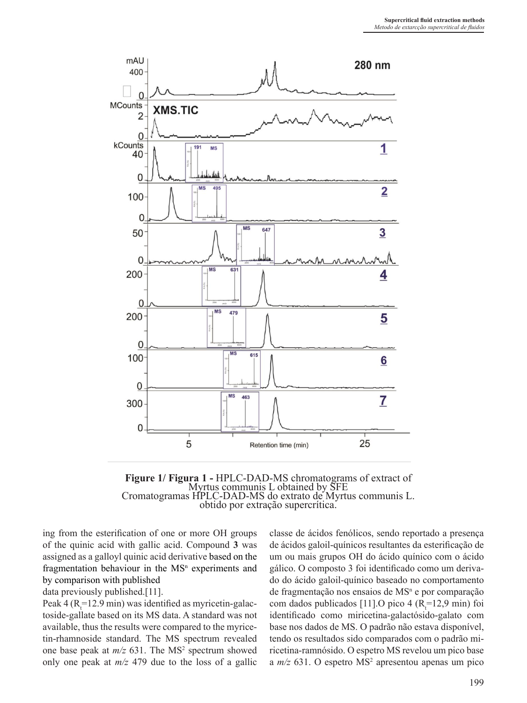

**Figure 1/ Figura 1 -** HPLC-DAD-MS chromatograms of extract of Myrtus communis L obtained by SFE Cromatogramas HPLC-DAD-MS do extrato de Myrtus communis L. obtido por extração supercrítica.

ing from the esterification of one or more OH groups of the quinic acid with gallic acid. Compound **3** was assigned as a galloyl quinic acid derivative based on the fragmentation behaviour in the  $MS<sup>n</sup>$  experiments and by comparison with published

data previously published.[11].

Peak 4 ( $R_t$ =12.9 min) was identified as myricetin-galactoside-gallate based on its MS data. A standard was not available, thus the results were compared to the myricetin-rhamnoside standard. The MS spectrum revealed one base peak at  $m/z$  631. The MS<sup>2</sup> spectrum showed only one peak at *m/z* 479 due to the loss of a gallic

classe de ácidos fenólicos, sendo reportado a presença de ácidos galoil-quínicos resultantes da esterificação de um ou mais grupos OH do ácido quínico com o ácido gálico. O composto 3 foi identificado como um derivado do ácido galoil-quínico baseado no comportamento de fragmentação nos ensaios de MS<sup>n</sup> e por comparação com dados publicados [11].O pico 4 ( $R_t$ =12,9 min) foi identificado como miricetina-galactósido-galato com base nos dados de MS. O padrão não estava disponível, tendo os resultados sido comparados com o padrão miricetina-ramnósido. O espetro MS revelou um pico base a *m/z* 631. O espetro MS<sup>2</sup> apresentou apenas um pico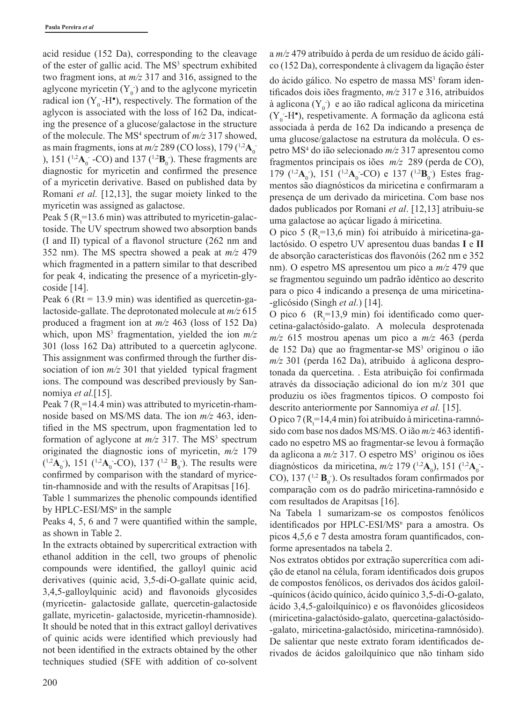acid residue (152 Da), corresponding to the cleavage of the ester of gallic acid. The MS<sup>3</sup> spectrum exhibited two fragment ions, at *m/z* 317 and 316, assigned to the aglycone myricetin  $(Y_0)$  and to the aglycone myricetin radical ion  $(Y_0$ -H<sup>•</sup>), respectively. The formation of the aglycon is associated with the loss of 162 Da, indicating the presence of a glucose/galactose in the structure of the molecule. The MS<sup>4</sup> spectrum of  $m/z$  317 showed, as main fragments, ions at  $m/z$  289 (CO loss), 179 ( $^{1,2}$ A<sub>0</sub><sup>-</sup> ),  $151 \frac{12}{A_0}$  -CO) and  $137 \frac{12}{B_0}$ . These fragments are diagnostic for myricetin and confirmed the presence of a myricetin derivative. Based on published data by Romani *et al.* [12,13], the sugar moiety linked to the myricetin was assigned as galactose.

Peak 5 ( $R_t$ =13.6 min) was attributed to myricetin-galactoside. The UV spectrum showed two absorption bands (I and II) typical of a flavonol structure (262 nm and 352 nm). The MS spectra showed a peak at *m/z* 479 which fragmented in a pattern similar to that described for peak 4, indicating the presence of a myricetin-glycoside [14].

Peak  $6$  (Rt = 13.9 min) was identified as quercetin-galactoside-gallate. The deprotonated molecule at *m/z* 615 produced a fragment ion at *m/z* 463 (loss of 152 Da) which, upon MS<sup>3</sup> fragmentation, yielded the ion  $m/z$ 301 (loss 162 Da) attributed to a quercetin aglycone. This assignment was confirmed through the further dissociation of ion *m/z* 301 that yielded typical fragment ions. The compound was described previously by Sannomiya *et al.*[15].

Peak 7 ( $R_t$ =14.4 min) was attributed to myricetin-rhamnoside based on MS/MS data. The ion *m/z* 463, identified in the MS spectrum, upon fragmentation led to formation of aglycone at  $m/z$  317. The MS<sup>3</sup> spectrum originated the diagnostic ions of myricetin, *m/z* 179  $(1.2A_0)$ , 151  $(1.2A_0$ -CO), 137  $(1.2 B_0)$ . The results were confirmed by comparison with the standard of myricetin-rhamnoside and with the results of Arapitsas [16].

Table 1 summarizes the phenolic compounds identified by  $HPLC-ESI/MS<sup>n</sup>$  in the sample

Peaks 4, 5, 6 and 7 were quantified within the sample, as shown in Table 2.

In the extracts obtained by supercritical extraction with ethanol addition in the cell, two groups of phenolic compounds were identified, the galloyl quinic acid derivatives (quinic acid, 3,5-di-O-gallate quinic acid, 3,4,5-galloylquinic acid) and flavonoids glycosides (myricetin- galactoside gallate, quercetin-galactoside gallate, myricetin- galactoside, myricetin-rhamnoside). It should be noted that in this extract galloyl derivatives of quinic acids were identified which previously had not been identified in the extracts obtained by the other techniques studied (SFE with addition of co-solvent a *m/z* 479 atribuído à perda de um resíduo de ácido gálico (152 Da), correspondente à clivagem da ligação éster

do ácido gálico. No espetro de massa MS<sup>3</sup> foram identificados dois iões fragmento, *m/z* 317 e 316, atribuídos à aglicona  $(Y_0)$  e ao ião radical aglicona da miricetina  $(Y_0 - H^{\bullet})$ , respetivamente. A formação da aglicona está associada à perda de 162 Da indicando a presença de uma glucose/galactose na estrutura da molécula. O espetro MS4 do ião selecionado *m/z* 317 apresentou como fragmentos principais os iões *m/z* 289 (perda de CO), 179 (<sup>1,2</sup>**A**<sub>0</sub><sup>-</sup>), 151 (<sup>1,2</sup>**A**<sub>0</sub><sup>-</sup>-CO) e 137 (<sup>1,2</sup>**B**<sub>0</sub><sup>-</sup>). Estes fragmentos são diagnósticos da miricetina e confirmaram a presença de um derivado da miricetina. Com base nos dados publicados por Romani *et al*. [12,13] atribuiu-se uma galactose ao açúcar ligado à miricetina.

O pico 5 ( $R_t$ =13,6 min) foi atribuído à miricetina-galactósido. O espetro UV apresentou duas bandas **I** e **II** de absorção características dos flavonóis (262 nm e 352 nm). O espetro MS apresentou um pico a *m/z* 479 que se fragmentou seguindo um padrão idêntico ao descrito para o pico 4 indicando a presença de uma miricetina- -glicósido (Singh *et al.*) [14].

O pico 6  $(R_t=13.9 \text{ min})$  foi identificado como quercetina-galactósido-galato. A molecula desprotenada *m/z* 615 mostrou apenas um pico a *m/z* 463 (perda de 152 Da) que ao fragmentar-se MS<sup>3</sup> originou o ião *m/z* 301 (perda 162 Da), atribuido à aglicona desprotonada da quercetina. . Esta atribuição foi confirmada através da dissociação adicional do íon m/z 301 que produziu os iões fragmentos típicos. O composto foi descrito anteriormente por Sannomiya *et al.* [15].

O pico 7 ( $R_t$ =14,4 min) foi atribuído à miricetina-ramnósido com base nos dados MS/MS. O ião *m/z* 463 identificado no espetro MS ao fragmentar-se levou à formação da aglicona a  $m/z$  317. O espetro  $MS<sup>3</sup>$  originou os iões diagnósticos da miricetina,  $m/z$  179 (<sup>1,2</sup>A<sub>0</sub>), 151 (<sup>1,2</sup>A<sub>0</sub>-CO),  $137(^{1,2}B_0)$ . Os resultados foram confirmados por comparação com os do padrão miricetina-ramnósido e com resultados de Arapitsas [16].

Na Tabela 1 sumarizam-se os compostos fenólicos identificados por HPLC-ESI/MS<sup>n</sup> para a amostra. Os picos 4,5,6 e 7 desta amostra foram quantificados, conforme apresentados na tabela 2.

Nos extratos obtidos por extração supercrítica com adição de etanol na célula, foram identificados dois grupos de compostos fenólicos, os derivados dos ácidos galoil- -quínicos (ácido quínico, ácido quínico 3,5-di-O-galato, ácido 3,4,5-galoilquínico) e os flavonóides glicosídeos (miricetina-galactósido-galato, quercetina-galactósido- -galato, miricetina-galactósido, miricetina-ramnósido). De salientar que neste extrato foram identificados derivados de ácidos galoilquínico que não tinham sido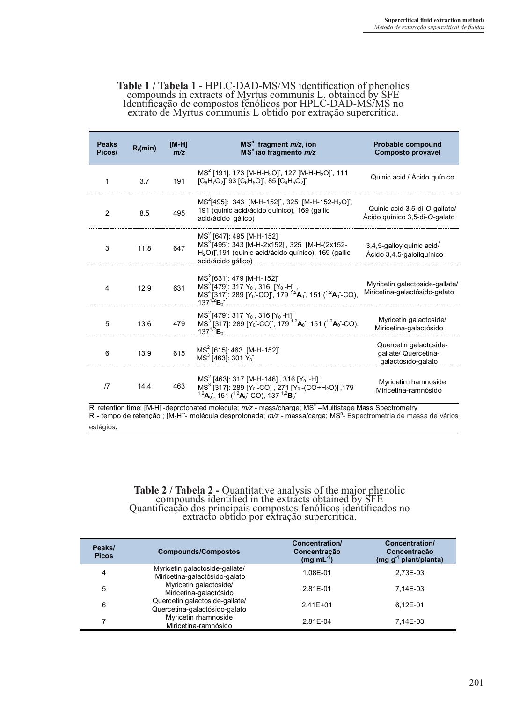## **Table 1 / Tabela 1 -** HPLC-DAD-MS/MS identification of phenolics compounds in extracts of Myrtus communis L. obtained by SFE Identificação de compostos fenólicos por HPLC-DAD-MS/MS no extrato de Myrtus communis L obtido por extração supercrítica.

| <b>Peaks</b><br>Picos/ | $R_t$ (min) | [M-H] <sup>-</sup><br>m/z | $MSn$ fragment $m/z$ , ion<br>MS <sup>n</sup> ião fragmento m/z                                                                                                                                                                                                                                                                                                                                                      | Probable compound<br>Composto provável                               |
|------------------------|-------------|---------------------------|----------------------------------------------------------------------------------------------------------------------------------------------------------------------------------------------------------------------------------------------------------------------------------------------------------------------------------------------------------------------------------------------------------------------|----------------------------------------------------------------------|
| 1                      | 3.7         | 191                       | MS <sup>2</sup> [191]: 173 [M-H-H <sub>2</sub> O], 127 [M-H-H <sub>2</sub> O], 111<br>$[C_6H_7O_2]$ 93 $[C_6H_5O]$ , 85 $[C_4H_5O_2]$                                                                                                                                                                                                                                                                                | Quinic acid / Ácido quínico                                          |
| 2                      | 8.5         | 495                       | MS <sup>2</sup> [495]: 343 [M-H-152], 325 [M-H-152-H <sub>2</sub> O],<br>191 (quinic acid/ácido quínico), 169 (gallic<br>acid/ácido gálico)                                                                                                                                                                                                                                                                          | Quinic acid 3,5-di-O-gallate/<br>Ácido quínico 3,5-di-O-galato       |
| 3                      | 11.8        | 647                       | MS <sup>2</sup> [647]: 495 [M-H-152]<br>MS <sup>3</sup> [495]: 343 [M-H-2x152], 325 [M-H-(2x152-<br>$H2O$ )], 191 (quinic acid/ácido quínico), 169 (gallic<br>acid/ácido gálico)                                                                                                                                                                                                                                     | 3,4,5-galloylquinic acid/<br>Ácido 3,4,5-galoilquínico               |
| 4                      | 12.9        | 631                       | MS <sup>2</sup> [631]: 479 [M-H-152]<br>MS <sup>3</sup> [479]: 317 Y <sub>0</sub> , 316 [Y <sub>0</sub> -H],<br>MS <sup>4</sup> [317]: 289 [Y <sub>0</sub> -CO], 179 <sup>12</sup> <b>A</b> <sub>0</sub> , 151 ( <sup>12</sup> <b>A</b> <sub>0</sub> -CO),<br>$137^{1,2}$ B <sub>0</sub>                                                                                                                             | Myricetin galactoside-gallate/<br>Miricetina-galactósido-galato      |
| 5                      | 13.6        | 479                       | MS <sup>2</sup> [479]: 317 Y <sub>0</sub> , 316 [Y <sub>0</sub> -H]<br>MS <sup>3</sup> [317]: 289 [Y <sub>0</sub> -CO], 179 <sup>1,2</sup> A <sub>0</sub> , 151 ( <sup>1,2</sup> A <sub>0</sub> -CO),<br>$137^{1,2}$ B <sub>0</sub>                                                                                                                                                                                  | Myricetin galactoside/<br>Miricetina-galactósido                     |
| 6                      | 13.9        | 615                       | MS <sup>2</sup> [615]: 463 [M-H-152]<br>$MS3$ [463]: 301 Y <sub>0</sub>                                                                                                                                                                                                                                                                                                                                              | Quercetin galactoside-<br>gallate/ Quercetina-<br>galactósido-galato |
| 17                     | 14.4        | 463                       | MS <sup>2</sup> [463]: 317 [M-H-146], 316 [Y <sub>0</sub> -H]<br>MS <sup>3</sup> [317]: 289 [Y <sub>0</sub> -CO], 271 [Y <sub>0</sub> -(CO+H <sub>2</sub> O)],179<br><sup>1,2</sup> <b>A</b> <sub>0</sub> , 151 ( <sup>1,2</sup> <b>A</b> <sub>0</sub> -CO), 137 <sup>1,2</sup> <b>B</b> <sub>0</sub><br>$R_1$ retention time: [M-H]-deprotonated molecule: $m/z$ - mass/charge: $MSn$ -Multistage Mass Spectrometry | Myricetin rhamnoside<br>Miricetina-ramnósido                         |

R<sub>t</sub> retention time; [M-H]-deprotonated molecule; *m/z* - mass/charge; MS<sup>n</sup> –Multistage Mass Spectrometry R<sub>t</sub> - tempo de retenção ; [M-H] - molécula desprotonada; *m/z -* massa/carga; MS<sup>n</sup> - Espectrometria de massa de vários estágios.

# Table 2 / Tabela 2 - Quantitative analysis of the major phenolic<br>compounds identified in the extracts obtained by SFE<br>Quantificação dos principais compostos fenólicos identificados no<br>extracto obtido por extração supercrit

| Peaks/<br><b>Picos</b> | <b>Compounds/Compostos</b>                                      | Concentration/<br>Concentracão<br>$(mg \, mL^{-1})$ | Concentration/<br>Concentração<br>(mg g <sup>-1</sup> plant/planta) |
|------------------------|-----------------------------------------------------------------|-----------------------------------------------------|---------------------------------------------------------------------|
| 4                      | Myricetin galactoside-gallate/<br>Miricetina-galactósido-galato | 1.08E-01                                            | 2.73E-03                                                            |
| 5                      | Myricetin galactoside/<br>Miricetina-galactósido                | 2.81E-01                                            | 7.14E-03                                                            |
| 6                      | Quercetin galactoside-gallate/<br>Quercetina-galactósido-galato | $2.41E + 01$                                        | 6.12E-01                                                            |
| 7                      | Myricetin rhamnoside<br>Miricetina-ramnósido                    | 2.81E-04                                            | 7.14E-03                                                            |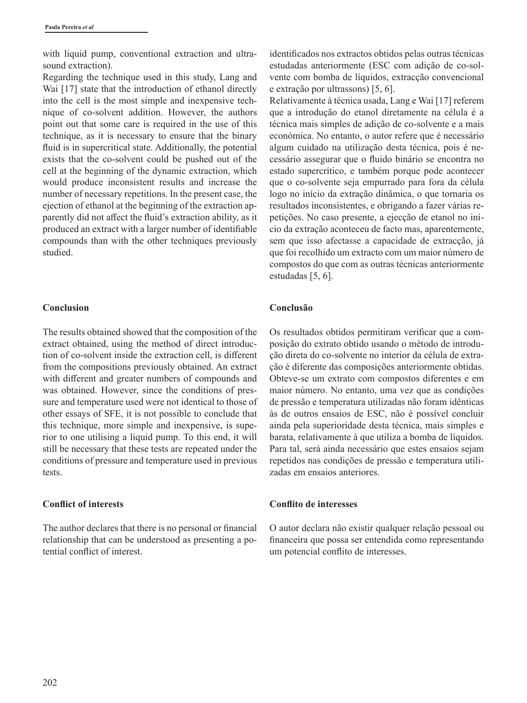with liquid pump, conventional extraction and ultrasound extraction).

Regarding the technique used in this study, Lang and Wai [17] state that the introduction of ethanol directly into the cell is the most simple and inexpensive technique of co-solvent addition. However, the authors point out that some care is required in the use of this technique, as it is necessary to ensure that the binary fluid is in supercritical state. Additionally, the potential exists that the co-solvent could be pushed out of the cell at the beginning of the dynamic extraction, which would produce inconsistent results and increase the number of necessary repetitions. In the present case, the ejection of ethanol at the beginning of the extraction apparently did not affect the fluid's extraction ability, as it produced an extract with a larger number of identifiable compounds than with the other techniques previously studied.

#### **Conclusion**

The results obtained showed that the composition of the extract obtained, using the method of direct introduction of co-solvent inside the extraction cell, is different from the compositions previously obtained. An extract with different and greater numbers of compounds and was obtained. However, since the conditions of pressure and temperature used were not identical to those of other essays of SFE, it is not possible to conclude that this technique, more simple and inexpensive, is superior to one utilising a liquid pump. To this end, it will still be necessary that these tests are repeated under the conditions of pressure and temperature used in previous tests.

#### **Conflict of interests**

The author declares that there is no personal or financial relationship that can be understood as presenting a potential conflict of interest.

identificados nos extractos obtidos pelas outras técnicas estudadas anteriormente (ESC com adição de co-solvente com bomba de líquidos, extracção convencional e extração por ultrassons) [5, 6].

Relativamente à técnica usada, Lang e Wai [17] referem que a introdução do etanol diretamente na célula é a técnica mais simples de adição de co-solvente e a mais económica. No entanto, o autor refere que é necessário algum cuidado na utilização desta técnica, pois é necessário assegurar que o fluido binário se encontra no estado supercrítico, e também porque pode acontecer que o co-solvente seja empurrado para fora da célula logo no início da extração dinâmica, o que tornaria os resultados inconsistentes, e obrigando a fazer várias repetições. No caso presente, a ejecção de etanol no início da extração aconteceu de facto mas, aparentemente, sem que isso afectasse a capacidade de extracção, já que foi recolhido um extracto com um maior número de compostos do que com as outras técnicas anteriormente estudadas [5, 6].

#### **Conclusão**

Os resultados obtidos permitiram verificar que a composição do extrato obtido usando o método de introdução direta do co-solvente no interior da célula de extração é diferente das composições anteriormente obtidas. Obteve-se um extrato com compostos diferentes e em maior número. No entanto, uma vez que as condições de pressão e temperatura utilizadas não foram idênticas às de outros ensaios de ESC, não é possível concluir ainda pela superioridade desta técnica, mais simples e barata, relativamente à que utiliza a bomba de líquidos. Para tal, será ainda necessário que estes ensaios sejam repetidos nas condições de pressão e temperatura utilizadas em ensaios anteriores.

#### **Conflito de interesses**

O autor declara não existir qualquer relação pessoal ou financeira que possa ser entendida como representando um potencial conflito de interesses.